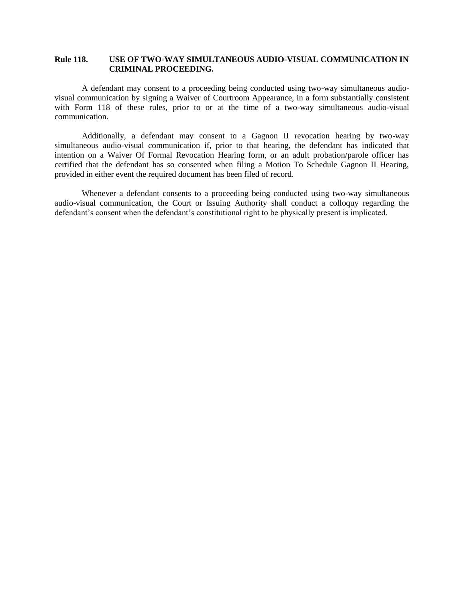## **Rule 118. USE OF TWO-WAY SIMULTANEOUS AUDIO-VISUAL COMMUNICATION IN CRIMINAL PROCEEDING.**

A defendant may consent to a proceeding being conducted using two-way simultaneous audiovisual communication by signing a Waiver of Courtroom Appearance, in a form substantially consistent with Form 118 of these rules, prior to or at the time of a two-way simultaneous audio-visual communication.

Additionally, a defendant may consent to a Gagnon II revocation hearing by two-way simultaneous audio-visual communication if, prior to that hearing, the defendant has indicated that intention on a Waiver Of Formal Revocation Hearing form, or an adult probation/parole officer has certified that the defendant has so consented when filing a Motion To Schedule Gagnon II Hearing, provided in either event the required document has been filed of record.

Whenever a defendant consents to a proceeding being conducted using two-way simultaneous audio-visual communication, the Court or Issuing Authority shall conduct a colloquy regarding the defendant's consent when the defendant's constitutional right to be physically present is implicated.